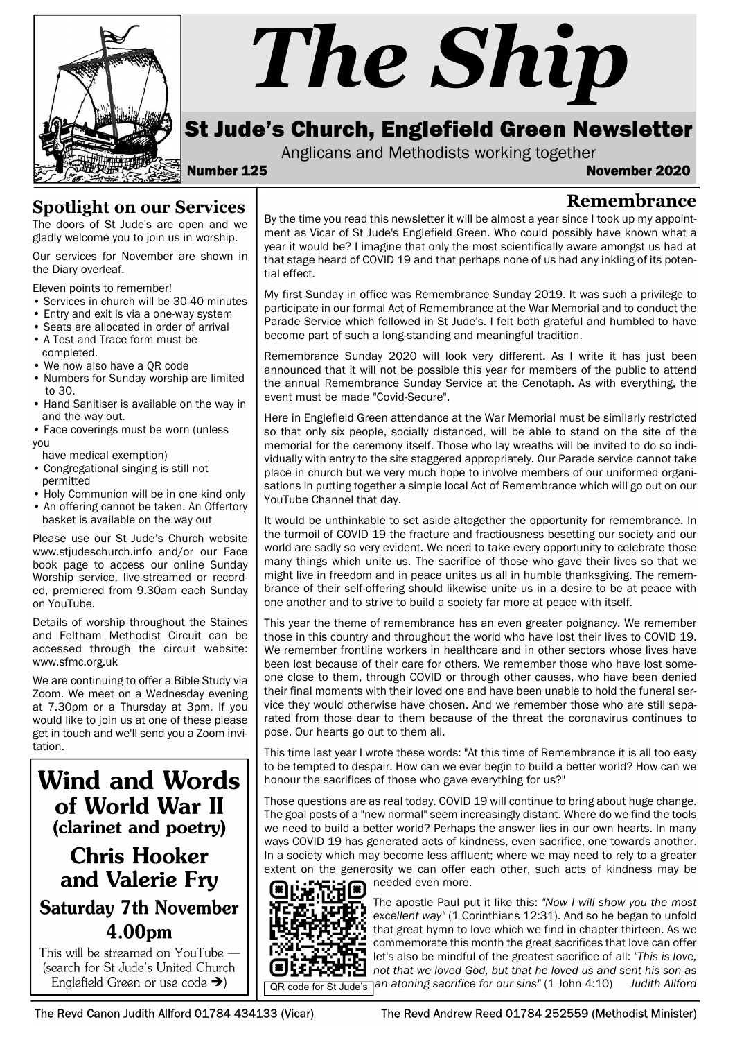

# The Ship

# St Jude's Church, Englefield Green Newsletter

Anglicans and Methodists working together

Number 125 November 2020

Remembrance

## Spotlight on our Services

The doors of St Jude's are open and we gladly welcome you to join us in worship.

Our services for November are shown in the Diary overleaf.

Eleven points to remember!

- Services in church will be 30-40 minutes
- Entry and exit is via a one-way system
- Seats are allocated in order of arrival
- A Test and Trace form must be
- completed. • We now also have a QR code
- Numbers for Sunday worship are limited to 30.
- Hand Sanitiser is available on the way in and the way out.
- Face coverings must be worn (unless you

have medical exemption)

- Congregational singing is still not permitted
- Holy Communion will be in one kind only
- An offering cannot be taken. An Offertory basket is available on the way out

Please use our St Jude's Church website www.stjudeschurch.info and/or our Face book page to access our online Sunday Worship service, live-streamed or recorded, premiered from 9.30am each Sunday on YouTube.

Details of worship throughout the Staines and Feltham Methodist Circuit can be accessed through the circuit website: www.sfmc.org.uk

We are continuing to offer a Bible Study via Zoom. We meet on a Wednesday evening at 7.30pm or a Thursday at 3pm. If you would like to join us at one of these please get in touch and we'll send you a Zoom invitation.

**Wind and Words** of World War II (clarinet and poetry)

# **Chris Hooker** and Valerie Fry **Saturday 7th November** 4.00pm

This will be streamed on YouTube -(search for St Jude's United Church

By the time you read this newsletter it will be almost a year since I took up my appointment as Vicar of St Jude's Englefield Green. Who could possibly have known what a year it would be? I imagine that only the most scientifically aware amongst us had at that stage heard of COVID 19 and that perhaps none of us had any inkling of its potential effect.

My first Sunday in office was Remembrance Sunday 2019. It was such a privilege to participate in our formal Act of Remembrance at the War Memorial and to conduct the Parade Service which followed in St Jude's. I felt both grateful and humbled to have become part of such a long-standing and meaningful tradition.

Remembrance Sunday 2020 will look very different. As I write it has just been announced that it will not be possible this year for members of the public to attend the annual Remembrance Sunday Service at the Cenotaph. As with everything, the event must be made "Covid-Secure".

Here in Englefield Green attendance at the War Memorial must be similarly restricted so that only six people, socially distanced, will be able to stand on the site of the memorial for the ceremony itself. Those who lay wreaths will be invited to do so individually with entry to the site staggered appropriately. Our Parade service cannot take place in church but we very much hope to involve members of our uniformed organisations in putting together a simple local Act of Remembrance which will go out on our YouTube Channel that day.

It would be unthinkable to set aside altogether the opportunity for remembrance. In the turmoil of COVID 19 the fracture and fractiousness besetting our society and our world are sadly so very evident. We need to take every opportunity to celebrate those many things which unite us. The sacrifice of those who gave their lives so that we might live in freedom and in peace unites us all in humble thanksgiving. The remembrance of their self-offering should likewise unite us in a desire to be at peace with one another and to strive to build a society far more at peace with itself.

This year the theme of remembrance has an even greater poignancy. We remember those in this country and throughout the world who have lost their lives to COVID 19. We remember frontline workers in healthcare and in other sectors whose lives have been lost because of their care for others. We remember those who have lost someone close to them, through COVID or through other causes, who have been denied their final moments with their loved one and have been unable to hold the funeral service they would otherwise have chosen. And we remember those who are still separated from those dear to them because of the threat the coronavirus continues to pose. Our hearts go out to them all.

This time last year I wrote these words: "At this time of Remembrance it is all too easy to be tempted to despair. How can we ever begin to build a better world? How can we honour the sacrifices of those who gave everything for us?"

Those questions are as real today. COVID 19 will continue to bring about huge change. The goal posts of a "new normal" seem increasingly distant. Where do we find the tools we need to build a better world? Perhaps the answer lies in our own hearts. In many ways COVID 19 has generated acts of kindness, even sacrifice, one towards another. In a society which may become less affluent; where we may need to rely to a greater extent on the generosity we can offer each other, such acts of kindness may be needed even more.



The apostle Paul put it like this: "Now I will show you the most excellent way" (1 Corinthians 12:31). And so he began to unfold that great hymn to love which we find in chapter thirteen. As we commemorate this month the great sacrifices that love can offer let's also be mindful of the greatest sacrifice of all: "This is love, not that we loved God, but that he loved us and sent his son as  $\bigoplus$  |  $\bigcap_{\overline{\text{QR code for St Jude's}}}$  an atoning sacrifice for our sins" (1 John 4:10) Judith Allford

The Revd Canon Judith Allford 01784 434133 (Vicar) The Revd Andrew Reed 01784 252559 (Methodist Minister)